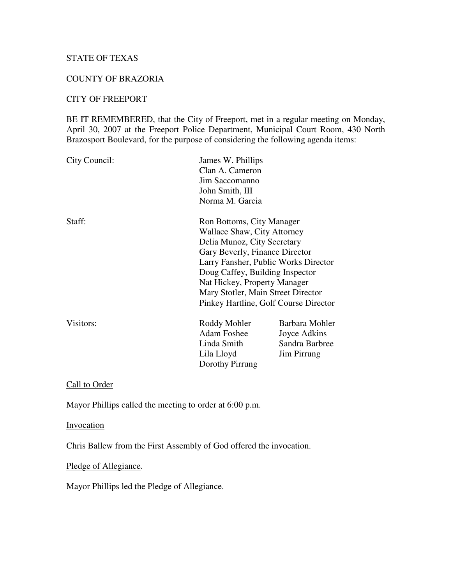## STATE OF TEXAS

#### COUNTY OF BRAZORIA

## CITY OF FREEPORT

BE IT REMEMBERED, that the City of Freeport, met in a regular meeting on Monday, April 30, 2007 at the Freeport Police Department, Municipal Court Room, 430 North Brazosport Boulevard, for the purpose of considering the following agenda items:

| City Council: | James W. Phillips<br>Clan A. Cameron<br>Jim Saccomanno<br>John Smith, III<br>Norma M. Garcia                                                                                                                                                                                                                        |                                                                 |
|---------------|---------------------------------------------------------------------------------------------------------------------------------------------------------------------------------------------------------------------------------------------------------------------------------------------------------------------|-----------------------------------------------------------------|
| Staff:        | Ron Bottoms, City Manager<br>Wallace Shaw, City Attorney<br>Delia Munoz, City Secretary<br>Gary Beverly, Finance Director<br>Larry Fansher, Public Works Director<br>Doug Caffey, Building Inspector<br>Nat Hickey, Property Manager<br>Mary Stotler, Main Street Director<br>Pinkey Hartline, Golf Course Director |                                                                 |
| Visitors:     | Roddy Mohler<br><b>Adam Foshee</b><br>Linda Smith<br>Lila Lloyd<br>Dorothy Pirrung                                                                                                                                                                                                                                  | Barbara Mohler<br>Joyce Adkins<br>Sandra Barbree<br>Jim Pirrung |

Call to Order

Mayor Phillips called the meeting to order at 6:00 p.m.

**Invocation** 

Chris Ballew from the First Assembly of God offered the invocation.

Pledge of Allegiance.

Mayor Phillips led the Pledge of Allegiance.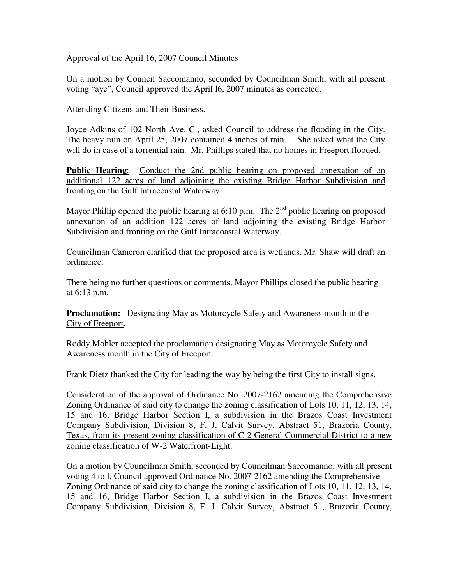### Approval of the April 16, 2007 Council Minutes

On a motion by Council Saccomanno, seconded by Councilman Smith, with all present voting "aye", Council approved the April l6, 2007 minutes as corrected.

### Attending Citizens and Their Business.

Joyce Adkins of 102 North Ave. C., asked Council to address the flooding in the City. The heavy rain on April 25, 2007 contained 4 inches of rain. She asked what the City will do in case of a torrential rain. Mr. Phillips stated that no homes in Freeport flooded.

**Public Hearing:** Conduct the 2nd public hearing on proposed annexation of an **a**dditional 122 acres of land adjoining the existing Bridge Harbor Subdivision and fronting on the Gulf Intracoastal Waterway.

Mayor Phillip opened the public hearing at 6:10 p.m. The  $2<sup>nd</sup>$  public hearing on proposed annexation of an addition 122 acres of land adjoining the existing Bridge Harbor Subdivision and fronting on the Gulf Intracoastal Waterway.

Councilman Cameron clarified that the proposed area is wetlands. Mr. Shaw will draft an ordinance.

There being no further questions or comments, Mayor Phillips closed the public hearing at 6:13 p.m.

**Proclamation:** Designating May as Motorcycle Safety and Awareness month in the City of Freeport.

Roddy Mohler accepted the proclamation designating May as Motorcycle Safety and Awareness month in the City of Freeport.

Frank Dietz thanked the City for leading the way by being the first City to install signs.

Consideration of the approval of Ordinance No. 2007-2162 amending the Comprehensive Zoning Ordinance of said city to change the zoning classification of Lots 10, 11, 12, 13, 14, 15 and 16, Bridge Harbor Section I, a subdivision in the Brazos Coast Investment Company Subdivision, Division 8, F. J. Calvit Survey, Abstract 51, Brazoria County, Texas, from its present zoning classification of C-2 General Commercial District to a new zoning classification of W-2 Waterfront-Light.

On a motion by Councilman Smith, seconded by Councilman Saccomanno, with all present voting 4 to l, Council approved Ordinance No. 2007-2162 amending the Comprehensive Zoning Ordinance of said city to change the zoning classification of Lots 10, 11, 12, 13, 14, 15 and 16, Bridge Harbor Section I, a subdivision in the Brazos Coast Investment Company Subdivision, Division 8, F. J. Calvit Survey, Abstract 51, Brazoria County,